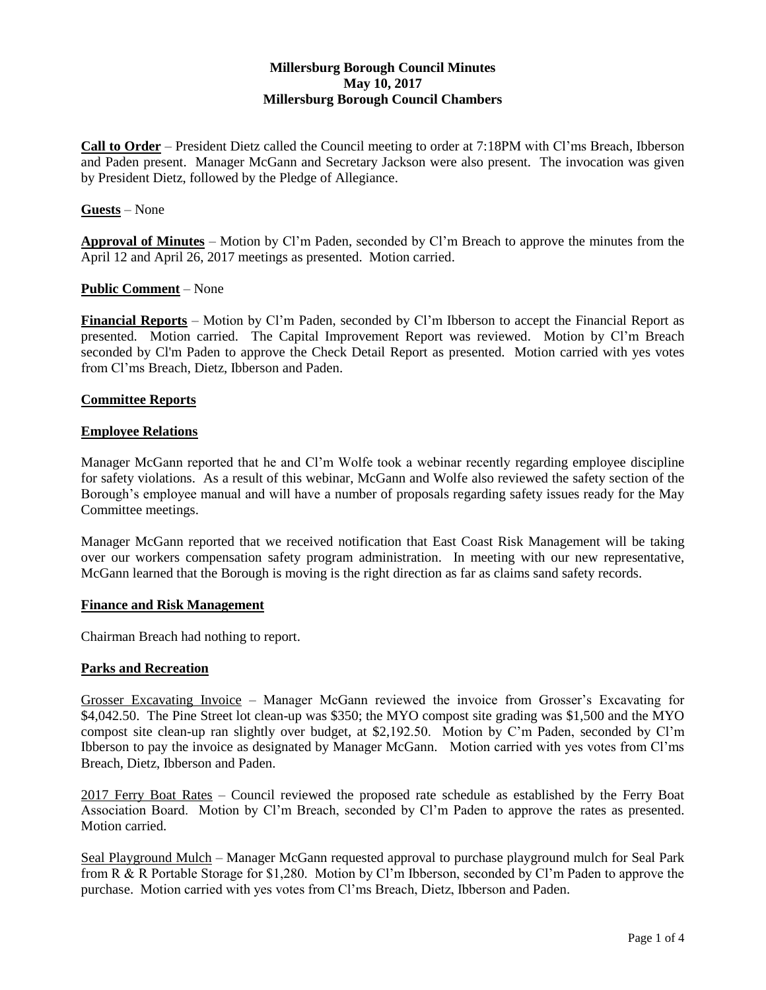# **Millersburg Borough Council Minutes May 10, 2017 Millersburg Borough Council Chambers**

**Call to Order** – President Dietz called the Council meeting to order at 7:18PM with Cl'ms Breach, Ibberson and Paden present. Manager McGann and Secretary Jackson were also present. The invocation was given by President Dietz, followed by the Pledge of Allegiance.

## **Guests** – None

**Approval of Minutes** – Motion by Cl'm Paden, seconded by Cl'm Breach to approve the minutes from the April 12 and April 26, 2017 meetings as presented. Motion carried.

### **Public Comment** – None

**Financial Reports** – Motion by Cl'm Paden, seconded by Cl'm Ibberson to accept the Financial Report as presented. Motion carried. The Capital Improvement Report was reviewed. Motion by Cl'm Breach seconded by Cl'm Paden to approve the Check Detail Report as presented. Motion carried with yes votes from Cl'ms Breach, Dietz, Ibberson and Paden.

### **Committee Reports**

#### **Employee Relations**

Manager McGann reported that he and Cl'm Wolfe took a webinar recently regarding employee discipline for safety violations. As a result of this webinar, McGann and Wolfe also reviewed the safety section of the Borough's employee manual and will have a number of proposals regarding safety issues ready for the May Committee meetings.

Manager McGann reported that we received notification that East Coast Risk Management will be taking over our workers compensation safety program administration. In meeting with our new representative, McGann learned that the Borough is moving is the right direction as far as claims sand safety records.

### **Finance and Risk Management**

Chairman Breach had nothing to report.

#### **Parks and Recreation**

Grosser Excavating Invoice – Manager McGann reviewed the invoice from Grosser's Excavating for \$4,042.50. The Pine Street lot clean-up was \$350; the MYO compost site grading was \$1,500 and the MYO compost site clean-up ran slightly over budget, at \$2,192.50. Motion by C'm Paden, seconded by Cl'm Ibberson to pay the invoice as designated by Manager McGann. Motion carried with yes votes from Cl'ms Breach, Dietz, Ibberson and Paden.

2017 Ferry Boat Rates – Council reviewed the proposed rate schedule as established by the Ferry Boat Association Board. Motion by Cl'm Breach, seconded by Cl'm Paden to approve the rates as presented. Motion carried.

Seal Playground Mulch – Manager McGann requested approval to purchase playground mulch for Seal Park from R & R Portable Storage for \$1,280. Motion by Cl'm Ibberson, seconded by Cl'm Paden to approve the purchase. Motion carried with yes votes from Cl'ms Breach, Dietz, Ibberson and Paden.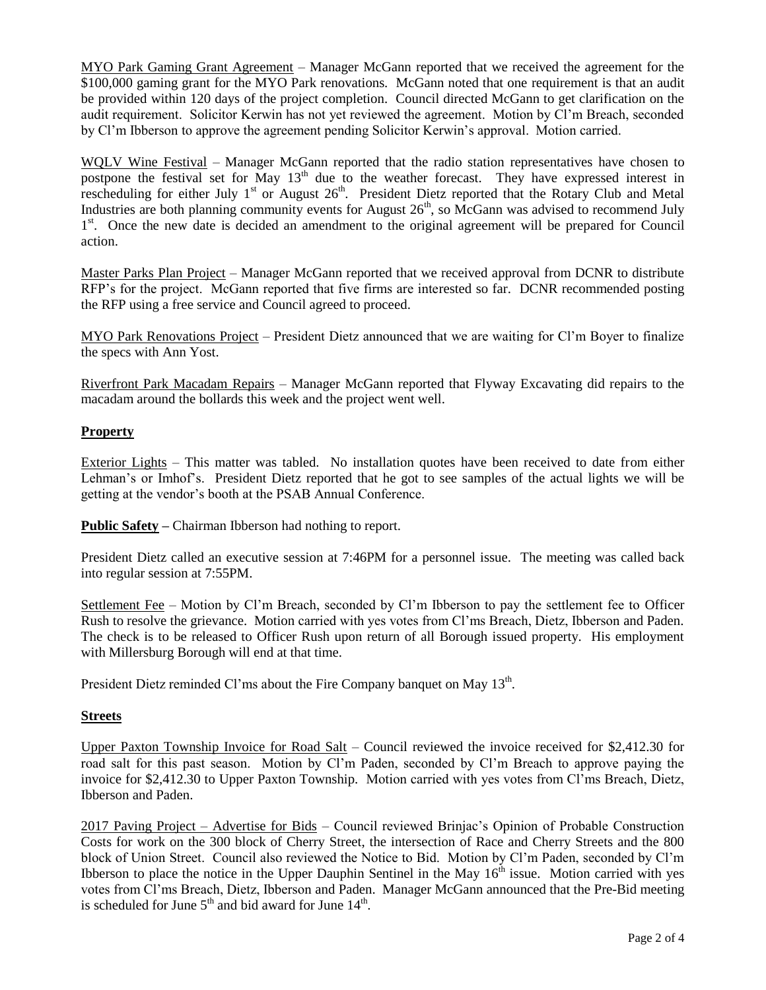MYO Park Gaming Grant Agreement – Manager McGann reported that we received the agreement for the \$100,000 gaming grant for the MYO Park renovations. McGann noted that one requirement is that an audit be provided within 120 days of the project completion. Council directed McGann to get clarification on the audit requirement. Solicitor Kerwin has not yet reviewed the agreement. Motion by Cl'm Breach, seconded by Cl'm Ibberson to approve the agreement pending Solicitor Kerwin's approval. Motion carried.

WQLV Wine Festival – Manager McGann reported that the radio station representatives have chosen to postpone the festival set for May  $13<sup>th</sup>$  due to the weather forecast. They have expressed interest in rescheduling for either July 1<sup>st</sup> or August 26<sup>th</sup>. President Dietz reported that the Rotary Club and Metal Industries are both planning community events for August  $26<sup>th</sup>$ , so McGann was advised to recommend July 1<sup>st</sup>. Once the new date is decided an amendment to the original agreement will be prepared for Council action.

Master Parks Plan Project – Manager McGann reported that we received approval from DCNR to distribute RFP's for the project. McGann reported that five firms are interested so far. DCNR recommended posting the RFP using a free service and Council agreed to proceed.

MYO Park Renovations Project – President Dietz announced that we are waiting for Cl'm Boyer to finalize the specs with Ann Yost.

Riverfront Park Macadam Repairs – Manager McGann reported that Flyway Excavating did repairs to the macadam around the bollards this week and the project went well.

## **Property**

Exterior Lights – This matter was tabled. No installation quotes have been received to date from either Lehman's or Imhof's. President Dietz reported that he got to see samples of the actual lights we will be getting at the vendor's booth at the PSAB Annual Conference.

**Public Safety –** Chairman Ibberson had nothing to report.

President Dietz called an executive session at 7:46PM for a personnel issue. The meeting was called back into regular session at 7:55PM.

Settlement Fee – Motion by Cl'm Breach, seconded by Cl'm Ibberson to pay the settlement fee to Officer Rush to resolve the grievance. Motion carried with yes votes from Cl'ms Breach, Dietz, Ibberson and Paden. The check is to be released to Officer Rush upon return of all Borough issued property. His employment with Millersburg Borough will end at that time.

President Dietz reminded Cl'ms about the Fire Company banquet on May 13<sup>th</sup>.

## **Streets**

Upper Paxton Township Invoice for Road Salt – Council reviewed the invoice received for \$2,412.30 for road salt for this past season. Motion by Cl'm Paden, seconded by Cl'm Breach to approve paying the invoice for \$2,412.30 to Upper Paxton Township. Motion carried with yes votes from Cl'ms Breach, Dietz, Ibberson and Paden.

2017 Paving Project – Advertise for Bids – Council reviewed Brinjac's Opinion of Probable Construction Costs for work on the 300 block of Cherry Street, the intersection of Race and Cherry Streets and the 800 block of Union Street. Council also reviewed the Notice to Bid. Motion by Cl'm Paden, seconded by Cl'm Ibberson to place the notice in the Upper Dauphin Sentinel in the May  $16<sup>th</sup>$  issue. Motion carried with yes votes from Cl'ms Breach, Dietz, Ibberson and Paden. Manager McGann announced that the Pre-Bid meeting is scheduled for June  $5<sup>th</sup>$  and bid award for June  $14<sup>th</sup>$ .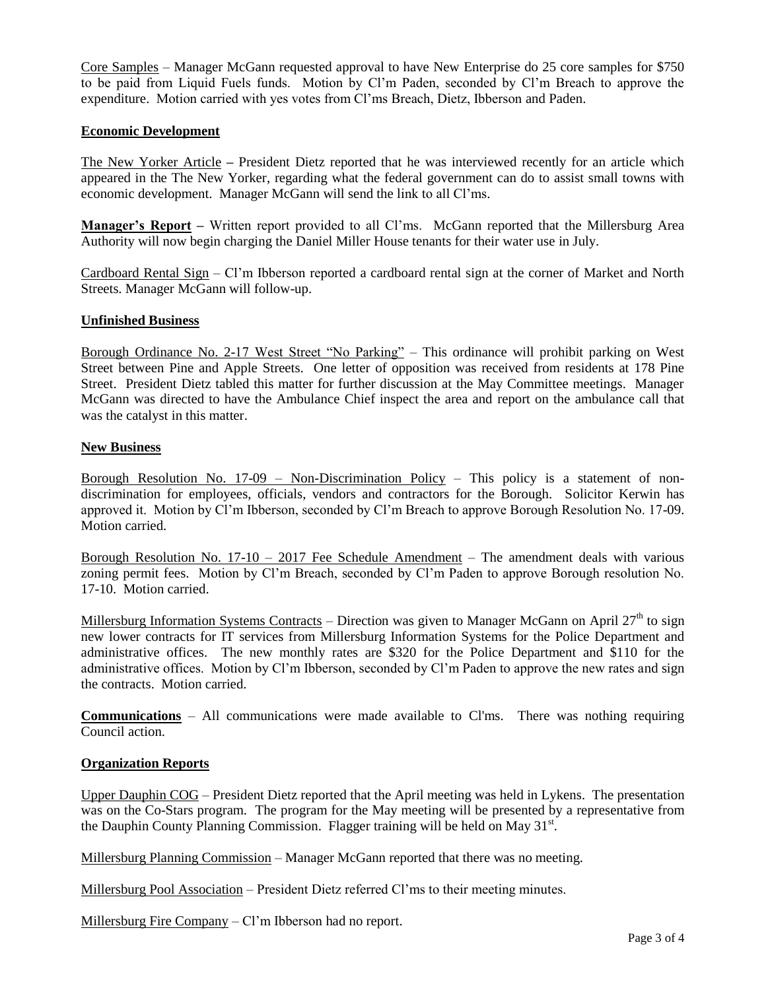Core Samples – Manager McGann requested approval to have New Enterprise do 25 core samples for \$750 to be paid from Liquid Fuels funds. Motion by Cl'm Paden, seconded by Cl'm Breach to approve the expenditure. Motion carried with yes votes from Cl'ms Breach, Dietz, Ibberson and Paden.

## **Economic Development**

The New Yorker Article **–** President Dietz reported that he was interviewed recently for an article which appeared in the The New Yorker, regarding what the federal government can do to assist small towns with economic development. Manager McGann will send the link to all Cl'ms.

**Manager's Report –** Written report provided to all Cl'ms. McGann reported that the Millersburg Area Authority will now begin charging the Daniel Miller House tenants for their water use in July.

Cardboard Rental Sign – Cl'm Ibberson reported a cardboard rental sign at the corner of Market and North Streets. Manager McGann will follow-up.

#### **Unfinished Business**

Borough Ordinance No. 2-17 West Street "No Parking" – This ordinance will prohibit parking on West Street between Pine and Apple Streets. One letter of opposition was received from residents at 178 Pine Street. President Dietz tabled this matter for further discussion at the May Committee meetings. Manager McGann was directed to have the Ambulance Chief inspect the area and report on the ambulance call that was the catalyst in this matter.

### **New Business**

Borough Resolution No.  $17-09$  – Non-Discrimination Policy – This policy is a statement of nondiscrimination for employees, officials, vendors and contractors for the Borough. Solicitor Kerwin has approved it. Motion by Cl'm Ibberson, seconded by Cl'm Breach to approve Borough Resolution No. 17-09. Motion carried.

Borough Resolution No.  $17-10 - 2017$  Fee Schedule Amendment – The amendment deals with various zoning permit fees. Motion by Cl'm Breach, seconded by Cl'm Paden to approve Borough resolution No. 17-10. Motion carried.

Millersburg Information Systems Contracts – Direction was given to Manager McGann on April  $27<sup>th</sup>$  to sign new lower contracts for IT services from Millersburg Information Systems for the Police Department and administrative offices. The new monthly rates are \$320 for the Police Department and \$110 for the administrative offices. Motion by Cl'm Ibberson, seconded by Cl'm Paden to approve the new rates and sign the contracts. Motion carried.

**Communications** – All communications were made available to Cl'ms. There was nothing requiring Council action.

### **Organization Reports**

Upper Dauphin COG – President Dietz reported that the April meeting was held in Lykens. The presentation was on the Co-Stars program. The program for the May meeting will be presented by a representative from the Dauphin County Planning Commission. Flagger training will be held on May 31st.

Millersburg Planning Commission – Manager McGann reported that there was no meeting.

Millersburg Pool Association – President Dietz referred Cl'ms to their meeting minutes.

Millersburg Fire Company – Cl'm Ibberson had no report.